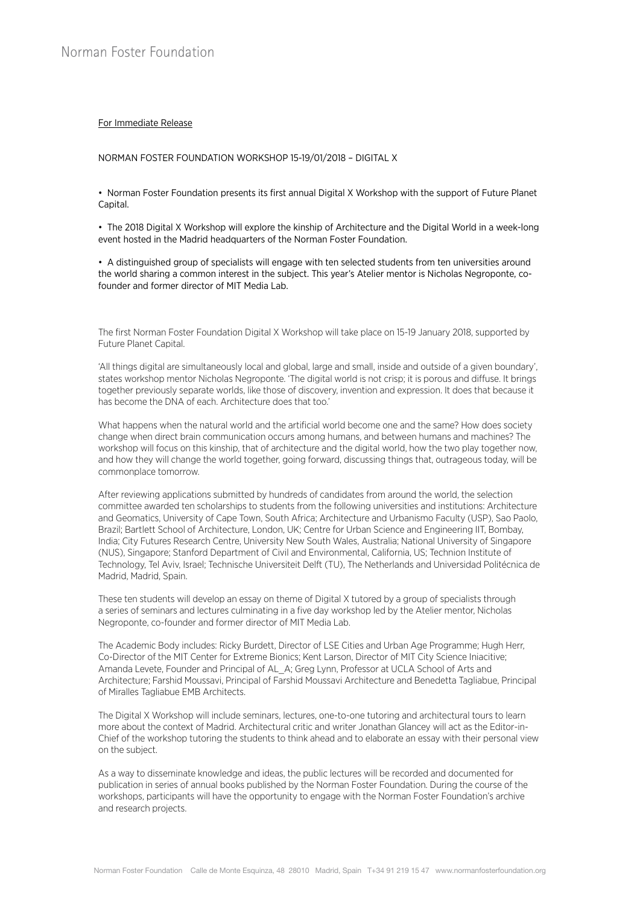## For Immediate Release

NORMAN FOSTER FOUNDATION WORKSHOP 15-19/01/2018 – DIGITAL X

• Norman Foster Foundation presents its first annual Digital X Workshop with the support of Future Planet Capital.

• The 2018 Digital X Workshop will explore the kinship of Architecture and the Digital World in a week-long event hosted in the Madrid headquarters of the Norman Foster Foundation.

• A distinguished group of specialists will engage with ten selected students from ten universities around the world sharing a common interest in the subject. This year's Atelier mentor is Nicholas Negroponte, cofounder and former director of MIT Media Lab.

The first Norman Foster Foundation Digital X Workshop will take place on 15-19 January 2018, supported by Future Planet Capital.

'All things digital are simultaneously local and global, large and small, inside and outside of a given boundary', states workshop mentor Nicholas Negroponte. 'The digital world is not crisp; it is porous and diffuse. It brings together previously separate worlds, like those of discovery, invention and expression. It does that because it has become the DNA of each. Architecture does that too.'

What happens when the natural world and the artificial world become one and the same? How does society change when direct brain communication occurs among humans, and between humans and machines? The workshop will focus on this kinship, that of architecture and the digital world, how the two play together now, and how they will change the world together, going forward, discussing things that, outrageous today, will be commonplace tomorrow.

After reviewing applications submitted by hundreds of candidates from around the world, the selection committee awarded ten scholarships to students from the following universities and institutions: Architecture and Geomatics, University of Cape Town, South Africa; Architecture and Urbanismo Faculty (USP), Sao Paolo, Brazil; Bartlett School of Architecture, London, UK; Centre for Urban Science and Engineering IIT, Bombay, India; City Futures Research Centre, University New South Wales, Australia; National University of Singapore (NUS), Singapore; Stanford Department of Civil and Environmental, California, US; Technion Institute of Technology, Tel Aviv, Israel; Technische Universiteit Delft (TU), The Netherlands and Universidad Politécnica de Madrid, Madrid, Spain.

These ten students will develop an essay on theme of Digital X tutored by a group of specialists through a series of seminars and lectures culminating in a five day workshop led by the Atelier mentor, Nicholas Negroponte, co-founder and former director of MIT Media Lab.

The Academic Body includes: Ricky Burdett, Director of LSE Cities and Urban Age Programme; Hugh Herr, Co-Director of the MIT Center for Extreme Bionics; Kent Larson, Director of MIT City Science Iniacitive; Amanda Levete, Founder and Principal of AL\_A; Greg Lynn, Professor at UCLA School of Arts and Architecture; Farshid Moussavi, Principal of Farshid Moussavi Architecture and Benedetta Tagliabue, Principal of Miralles Tagliabue EMB Architects.

The Digital X Workshop will include seminars, lectures, one-to-one tutoring and architectural tours to learn more about the context of Madrid. Architectural critic and writer Jonathan Glancey will act as the Editor-in-Chief of the workshop tutoring the students to think ahead and to elaborate an essay with their personal view on the subject.

As a way to disseminate knowledge and ideas, the public lectures will be recorded and documented for publication in series of annual books published by the Norman Foster Foundation. During the course of the workshops, participants will have the opportunity to engage with the Norman Foster Foundation's archive and research projects.